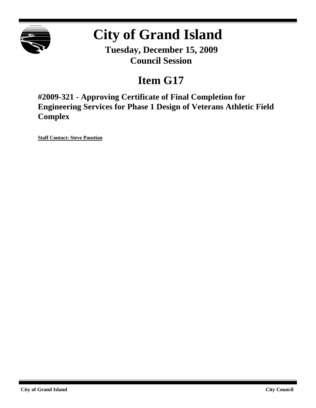

# **City of Grand Island**

**Tuesday, December 15, 2009 Council Session**

## **Item G17**

**#2009-321 - Approving Certificate of Final Completion for Engineering Services for Phase 1 Design of Veterans Athletic Field Complex**

**Staff Contact: Steve Paustian**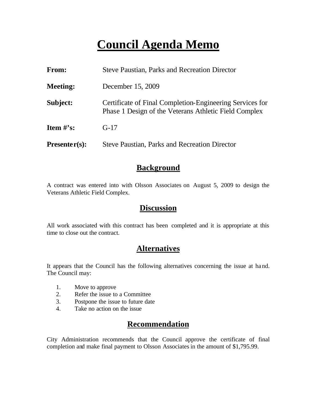## **Council Agenda Memo**

| From:           | <b>Steve Paustian, Parks and Recreation Director</b>                                                              |  |
|-----------------|-------------------------------------------------------------------------------------------------------------------|--|
| <b>Meeting:</b> | December 15, 2009                                                                                                 |  |
| Subject:        | Certificate of Final Completion-Engineering Services for<br>Phase 1 Design of the Veterans Athletic Field Complex |  |
| Item $\#$ 's:   | $G-17$                                                                                                            |  |
| $Presenter(s):$ | <b>Steve Paustian, Parks and Recreation Director</b>                                                              |  |

#### **Background**

A contract was entered into with Olsson Associates on August 5, 2009 to design the Veterans Athletic Field Complex.

### **Discussion**

All work associated with this contract has been completed and it is appropriate at this time to close out the contract.

### **Alternatives**

It appears that the Council has the following alternatives concerning the issue at hand. The Council may:

- 1. Move to approve
- 2. Refer the issue to a Committee
- 3. Postpone the issue to future date
- 4. Take no action on the issue

### **Recommendation**

City Administration recommends that the Council approve the certificate of final completion and make final payment to Olsson Associates in the amount of \$1,795.99.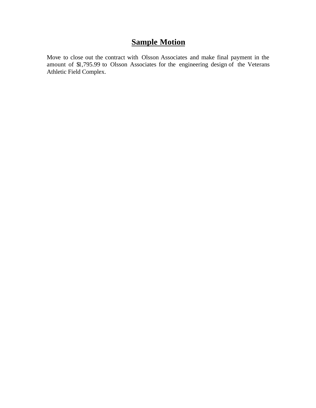## **Sample Motion**

Move to close out the contract with Olsson Associates and make final payment in the amount of \$1,795.99 to Olsson Associates for the engineering design of the Veterans Athletic Field Complex.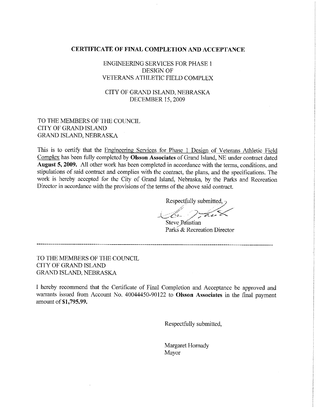#### **CERTIFICATE OF FINAL COMPLETION AND ACCEPTANCE**

**ENGINEERING SERVICES FOR PHASE 1 DESIGN OF** VETERANS ATHLETIC FIELD COMPLEX

CITY OF GRAND ISLAND, NEBRASKA **DECEMBER 15, 2009** 

#### TO THE MEMBERS OF THE COUNCIL CITY OF GRAND ISLAND **GRAND ISLAND, NEBRASKA**

This is to certify that the Engineering Services for Phase 1 Design of Veterans Athletic Field Complex has been fully completed by Olsson Associates of Grand Island, NE under contract dated August 5, 2009. All other work has been completed in accordance with the terms, conditions, and stipulations of said contract and complies with the contract, the plans, and the specifications. The work is hereby accepted for the City of Grand Island, Nebraska, by the Parks and Recreation Director in accordance with the provisions of the terms of the above said contract.

Respectfully submitted.

Steve Paustian Parks & Recreation Director

TO THE MEMBERS OF THE COUNCIL **CITY OF GRAND ISLAND** GRAND ISLAND, NEBRASKA

I hereby recommend that the Certificate of Final Completion and Acceptance be approved and warrants issued from Account No. 40044450-90122 to Olsson Associates in the final payment amount of \$1,795.99.

Respectfully submitted,

Margaret Hornady Mayor